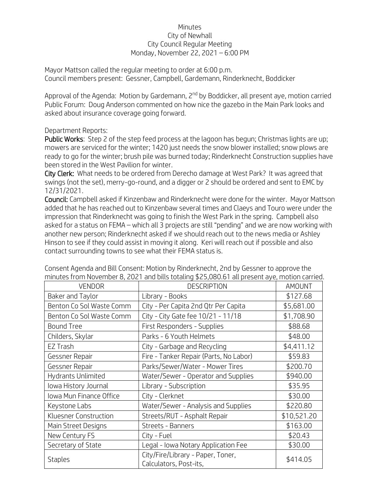## Minutes City of Newhall City Council Regular Meeting Monday, November 22, 2021 – 6:00 PM

Mayor Mattson called the regular meeting to order at 6:00 p.m. Council members present: Gessner, Campbell, Gardemann, Rinderknecht, Boddicker

Approval of the Agenda: Motion by Gardemann, 2<sup>nd</sup> by Boddicker, all present aye, motion carried Public Forum: Doug Anderson commented on how nice the gazebo in the Main Park looks and asked about insurance coverage going forward.

## Department Reports:

Public Works: Step 2 of the step feed process at the lagoon has begun; Christmas lights are up; mowers are serviced for the winter; 1420 just needs the snow blower installed; snow plows are ready to go for the winter; brush pile was burned today; Rinderknecht Construction supplies have been stored in the West Pavilion for winter.

City Clerk: What needs to be ordered from Derecho damage at West Park? It was agreed that swings (not the set), merry-go-round, and a digger or 2 should be ordered and sent to EMC by 12/31/2021.

Council: Campbell asked if Kinzenbaw and Rinderknecht were done for the winter. Mayor Mattson added that he has reached out to Kinzenbaw several times and Claeys and Touro were under the impression that Rinderknecht was going to finish the West Park in the spring. Campbell also asked for a status on FEMA – which all 3 projects are still "pending" and we are now working with another new person; Rinderknecht asked if we should reach out to the news media or Ashley Hinson to see if they could assist in moving it along. Keri will reach out if possible and also contact surrounding towns to see what their FEMA status is.

| <b>VENDOR</b>                  | <b>DESCRIPTION</b>                                          | AMOUNT      |
|--------------------------------|-------------------------------------------------------------|-------------|
| Baker and Taylor               | Library - Books                                             | \$127.68    |
| Benton Co Sol Waste Comm       | City - Per Capita 2nd Qtr Per Capita                        | \$5,681.00  |
| Benton Co Sol Waste Comm       | City - City Gate fee 10/21 - 11/18                          | \$1,708.90  |
| <b>Bound Tree</b>              | First Responders - Supplies                                 | \$88.68     |
| Childers, Skylar               | Parks - 6 Youth Helmets                                     | \$48.00     |
| EZ Trash                       | City - Garbage and Recycling                                | \$4,411.12  |
| Gessner Repair                 | Fire - Tanker Repair (Parts, No Labor)                      | \$59.83     |
| Gessner Repair                 | Parks/Sewer/Water - Mower Tires                             | \$200.70    |
| Hydrants Unlimited             | Water/Sewer - Operator and Supplies                         | \$940.00    |
| lowa History Journal           | Library - Subscription                                      | \$35.95     |
| <b>Iowa Mun Finance Office</b> | City - Clerknet                                             | \$30.00     |
| Keystone Labs                  | Water/Sewer - Analysis and Supplies                         | \$220.80    |
| Kluesner Construction          | Streets/RUT - Asphalt Repair                                | \$10,521.20 |
| Main Street Designs            | Streets - Banners                                           | \$163.00    |
| New Century FS                 | City - Fuel                                                 | \$20.43     |
| Secretary of State             | Legal - Iowa Notary Application Fee                         | \$30.00     |
| <b>Staples</b>                 | City/Fire/Library - Paper, Toner,<br>Calculators, Post-its, | \$414.05    |

Consent Agenda and Bill Consent: Motion by Rinderknecht, 2nd by Gessner to approve the minutes from November 8, 2021 and bills totaling \$25,080.61 all present aye, motion carried.